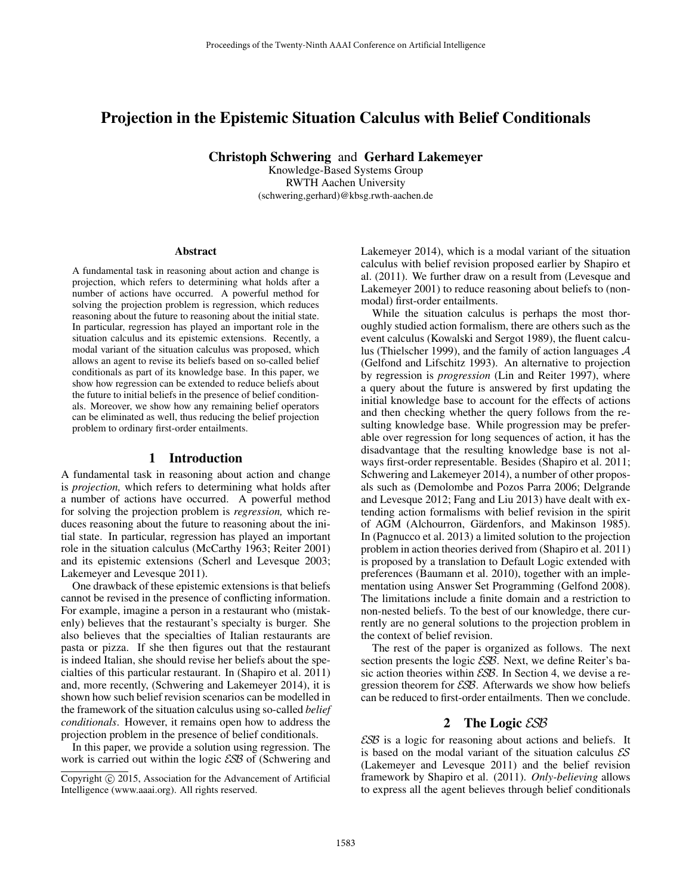# Projection in the Epistemic Situation Calculus with Belief Conditionals

Christoph Schwering and Gerhard Lakemeyer

Knowledge-Based Systems Group RWTH Aachen University (schwering,gerhard)@kbsg.rwth-aachen.de

#### Abstract

A fundamental task in reasoning about action and change is projection, which refers to determining what holds after a number of actions have occurred. A powerful method for solving the projection problem is regression, which reduces reasoning about the future to reasoning about the initial state. In particular, regression has played an important role in the situation calculus and its epistemic extensions. Recently, a modal variant of the situation calculus was proposed, which allows an agent to revise its beliefs based on so-called belief conditionals as part of its knowledge base. In this paper, we show how regression can be extended to reduce beliefs about the future to initial beliefs in the presence of belief conditionals. Moreover, we show how any remaining belief operators can be eliminated as well, thus reducing the belief projection problem to ordinary first-order entailments.

#### 1 Introduction

A fundamental task in reasoning about action and change is *projection,* which refers to determining what holds after a number of actions have occurred. A powerful method for solving the projection problem is *regression,* which reduces reasoning about the future to reasoning about the initial state. In particular, regression has played an important role in the situation calculus (McCarthy 1963; Reiter 2001) and its epistemic extensions (Scherl and Levesque 2003; Lakemeyer and Levesque 2011).

One drawback of these epistemic extensions is that beliefs cannot be revised in the presence of conflicting information. For example, imagine a person in a restaurant who (mistakenly) believes that the restaurant's specialty is burger. She also believes that the specialties of Italian restaurants are pasta or pizza. If she then figures out that the restaurant is indeed Italian, she should revise her beliefs about the specialties of this particular restaurant. In (Shapiro et al. 2011) and, more recently, (Schwering and Lakemeyer 2014), it is shown how such belief revision scenarios can be modelled in the framework of the situation calculus using so-called *belief conditionals*. However, it remains open how to address the projection problem in the presence of belief conditionals.

In this paper, we provide a solution using regression. The work is carried out within the logic ESB of (Schwering and Lakemeyer 2014), which is a modal variant of the situation calculus with belief revision proposed earlier by Shapiro et al. (2011). We further draw on a result from (Levesque and Lakemeyer 2001) to reduce reasoning about beliefs to (nonmodal) first-order entailments.

While the situation calculus is perhaps the most thoroughly studied action formalism, there are others such as the event calculus (Kowalski and Sergot 1989), the fluent calculus (Thielscher 1999), and the family of action languages  $A$ (Gelfond and Lifschitz 1993). An alternative to projection by regression is *progression* (Lin and Reiter 1997), where a query about the future is answered by first updating the initial knowledge base to account for the effects of actions and then checking whether the query follows from the resulting knowledge base. While progression may be preferable over regression for long sequences of action, it has the disadvantage that the resulting knowledge base is not always first-order representable. Besides (Shapiro et al. 2011; Schwering and Lakemeyer 2014), a number of other proposals such as (Demolombe and Pozos Parra 2006; Delgrande and Levesque 2012; Fang and Liu 2013) have dealt with extending action formalisms with belief revision in the spirit of AGM (Alchourron, Gärdenfors, and Makinson 1985). In (Pagnucco et al. 2013) a limited solution to the projection problem in action theories derived from (Shapiro et al. 2011) is proposed by a translation to Default Logic extended with preferences (Baumann et al. 2010), together with an implementation using Answer Set Programming (Gelfond 2008). The limitations include a finite domain and a restriction to non-nested beliefs. To the best of our knowledge, there currently are no general solutions to the projection problem in the context of belief revision.

The rest of the paper is organized as follows. The next section presents the logic *ESB*. Next, we define Reiter's basic action theories within  $\mathcal{E} \mathcal{S} \mathcal{B}$ . In Section 4, we devise a regression theorem for ESB. Afterwards we show how beliefs can be reduced to first-order entailments. Then we conclude.

# 2 The Logic ESB

ESB is a logic for reasoning about actions and beliefs. It is based on the modal variant of the situation calculus  $\mathcal{E}S$ (Lakemeyer and Levesque 2011) and the belief revision framework by Shapiro et al. (2011). *Only-believing* allows to express all the agent believes through belief conditionals

Copyright © 2015, Association for the Advancement of Artificial Intelligence (www.aaai.org). All rights reserved.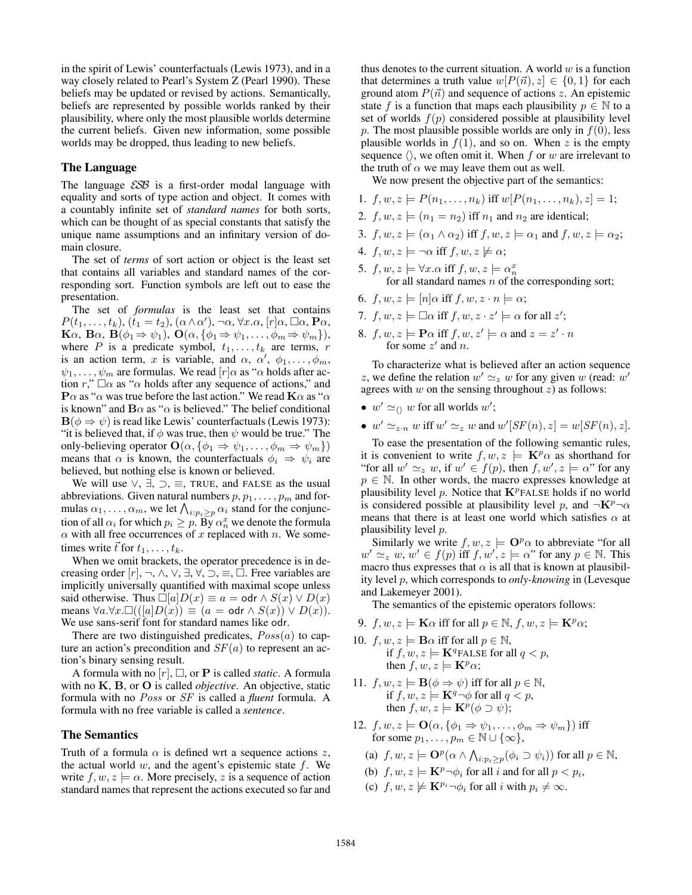in the spirit of Lewis' counterfactuals (Lewis 1973), and in a way closely related to Pearl's System Z (Pearl 1990). These beliefs may be updated or revised by actions. Semantically, beliefs are represented by possible worlds ranked by their plausibility, where only the most plausible worlds determine the current beliefs. Given new information, some possible worlds may be dropped, thus leading to new beliefs.

### The Language

The language  $ESB$  is a first-order modal language with equality and sorts of type action and object. It comes with a countably infinite set of *standard names* for both sorts, which can be thought of as special constants that satisfy the unique name assumptions and an infinitary version of domain closure.

The set of *terms* of sort action or object is the least set that contains all variables and standard names of the corresponding sort. Function symbols are left out to ease the presentation.

The set of *formulas* is the least set that contains  $P(t_1,\ldots,t_k),(\widetilde{t}_1=t_2),(\alpha\wedge\alpha'),\neg\alpha,\forall x.\alpha,[r]\alpha,\Box\alpha,\mathbf{P}\alpha,$ **K** $\alpha$ , **B** $\alpha$ , **B** $(\phi_1 \Rightarrow \psi_1)$ , **O** $(\alpha, {\phi_1 \Rightarrow \psi_1, \ldots, \phi_m \Rightarrow \psi_m})$ , where P is a predicate symbol,  $t_1, \ldots, t_k$  are terms, r is an action term, x is variable, and  $\alpha$ ,  $\alpha'$ ,  $\phi_1, \ldots, \phi_m$ ,  $\psi_1, \ldots, \psi_m$  are formulas. We read  $[r] \alpha$  as " $\alpha$  holds after action r,"  $\Box \alpha$  as " $\alpha$  holds after any sequence of actions," and  ${\bf P}\alpha$  as " $\alpha$  was true before the last action." We read  ${\bf K}\alpha$  as " $\alpha$ is known" and  $\mathbf{B}\alpha$  as " $\alpha$  is believed." The belief conditional  $\mathbf{B}(\phi \Rightarrow \psi)$  is read like Lewis' counterfactuals (Lewis 1973): "it is believed that, if  $\phi$  was true, then  $\psi$  would be true." The only-believing operator  $\mathbf{O}(\alpha, \{\phi_1 \Rightarrow \psi_1, \dots, \phi_m \Rightarrow \psi_m\})$ means that  $\alpha$  is known, the counterfactuals  $\phi_i \Rightarrow \psi_i$  are believed, but nothing else is known or believed.

We will use  $\vee$ ,  $\exists$ ,  $\supset$ ,  $\equiv$ , TRUE, and FALSE as the usual abbreviations. Given natural numbers  $p, p_1, \ldots, p_m$  and formulas  $\alpha_1, \ldots, \alpha_m$ , we let  $\bigwedge_{i:p_i\geq p} \alpha_i$  stand for the conjunction of all  $\alpha_i$  for which  $p_i \geq p$ . By  $\alpha_n^x$  we denote the formula  $\alpha$  with all free occurrences of x replaced with n. We sometimes write  $\vec{t}$  for  $t_1, \ldots, t_k$ .

When we omit brackets, the operator precedence is in decreasing order  $[r], \neg, \wedge, \vee, \exists, \forall, \supset \equiv, \Box$ . Free variables are implicitly universally quantified with maximal scope unless said otherwise. Thus  $\Box[a]D(x) \equiv a = \text{odr} \land S(x) \lor D(x)$ means  $\forall a.\forall x. \Box (([a]D(x)) \equiv (a = \text{odr} \land S(x)) \lor D(x)).$ We use sans-serif font for standard names like odr.

There are two distinguished predicates,  $Poss(a)$  to capture an action's precondition and  $SF(a)$  to represent an action's binary sensing result.

A formula with no  $[r]$ ,  $\Box$ , or **P** is called *static*. A formula with no K, B, or O is called *objective*. An objective, static formula with no Poss or SF is called a *fluent* formula. A formula with no free variable is called a *sentence*.

#### The Semantics

Truth of a formula  $\alpha$  is defined wrt a sequence actions z, the actual world  $w$ , and the agent's epistemic state  $f$ . We write  $f, w, z \models \alpha$ . More precisely, z is a sequence of action standard names that represent the actions executed so far and

thus denotes to the current situation. A world  $w$  is a function that determines a truth value  $w[P(\vec{n}), z] \in \{0, 1\}$  for each ground atom  $P(\vec{n})$  and sequence of actions z. An epistemic state f is a function that maps each plausibility  $p \in \mathbb{N}$  to a set of worlds  $f(p)$  considered possible at plausibility level p. The most plausible possible worlds are only in  $f(0)$ , less plausible worlds in  $f(1)$ , and so on. When z is the empty sequence  $\langle \rangle$ , we often omit it. When f or w are irrelevant to the truth of  $\alpha$  we may leave them out as well.

We now present the objective part of the semantics:

- 1.  $f, w, z \models P(n_1, \ldots, n_k)$  iff  $w[P(n_1, \ldots, n_k), z] = 1$ ;
- 2.  $f, w, z \models (n_1 = n_2)$  iff  $n_1$  and  $n_2$  are identical;
- 3.  $f, w, z \models (\alpha_1 \land \alpha_2)$  iff  $f, w, z \models \alpha_1$  and  $f, w, z \models \alpha_2$ ;
- 4.  $f, w, z \models \neg \alpha$  iff  $f, w, z \not\models \alpha$ ;
- 5.  $f, w, z \models \forall x. \alpha \text{ iff } f, w, z \models \alpha_n^x$ for all standard names  $n$  of the corresponding sort;
- 6.  $f, w, z \models [n] \alpha$  iff  $f, w, z \cdot n \models \alpha$ ;
- 7.  $f, w, z \models \Box \alpha$  iff  $f, w, z \cdot z' \models \alpha$  for all  $z'$ ;
- 8.  $f, w, z \models \mathbf{P}\alpha$  iff  $f, w, z' \models \alpha$  and  $z = z' \cdot n$ for some  $z'$  and n.

To characterize what is believed after an action sequence z, we define the relation  $w' \simeq_z w$  for any given w (read: w' agrees with  $w$  on the sensing throughout  $z$ ) as follows:

- $w' \simeq_{\langle} w$  for all worlds w';
- $w' \simeq_{z \cdot n} w$  iff  $w' \simeq_z w$  and  $w'[SF(n), z] = w[SF(n), z]$ .

To ease the presentation of the following semantic rules, it is convenient to write  $f, w, z \models \mathbf{K}^p \alpha$  as shorthand for "for all  $w' \simeq_z w$ , if  $w' \in f(p)$ , then  $f, w', z \models \alpha$ " for any  $p \in \mathbb{N}$ . In other words, the macro expresses knowledge at plausibility level p. Notice that  $\mathbf{K}^p$  FALSE holds if no world is considered possible at plausibility level p, and  $\neg K^p\neg \alpha$ means that there is at least one world which satisfies  $\alpha$  at plausibility level p.

Similarly we write  $f, w, z \models \mathbf{O}^p\alpha$  to abbreviate "for all  $w' \simeq_z w, w' \in f(p)$  iff  $f, w', z \models \alpha$ " for any  $p \in \mathbb{N}$ . This macro thus expresses that  $\alpha$  is all that is known at plausibility level p, which corresponds to *only-knowing* in (Levesque and Lakemeyer 2001).

The semantics of the epistemic operators follows:

- 9.  $f, w, z \models \mathbf{K}\alpha$  iff for all  $p \in \mathbb{N}$ ,  $f, w, z \models \mathbf{K}^p\alpha$ ;
- 10.  $f, w, z \models \mathbf{B}\alpha$  iff for all  $p \in \mathbb{N}$ , if  $f, w, z \models \mathbf{K}^q$ FALSE for all  $q < p$ , then  $f, w, z \models \mathbf{K}^p \alpha$ ;
- 11.  $f, w, z \models \mathbf{B}(\phi \Rightarrow \psi)$  iff for all  $p \in \mathbb{N}$ , if  $f, w, z \models \mathbf{K}^q \neg \phi$  for all  $q < p$ , then  $f, w, z \models \mathbf{K}^p(\phi \supset \psi);$
- 12.  $f, w, z \models \mathbf{O}(\alpha, {\phi_1 \Rightarrow \psi_1, \dots, \phi_m \Rightarrow \psi_m})$  iff for some  $p_1, \ldots, p_m \in \mathbb{N} \cup \{\infty\},$ 
	- (a)  $f, w, z \models \mathbf{O}^p(\alpha \wedge \bigwedge_{i:p_i \geq p} (\phi_i \supset \psi_i))$  for all  $p \in \mathbb{N}$ ,
	- (b)  $f, w, z \models \mathbf{K}^p \neg \phi_i$  for all i and for all  $p < p_i$ ,
	- (c)  $f, w, z \not\models \mathbf{K}^{p_i} \neg \phi_i$  for all i with  $p_i \neq \infty$ .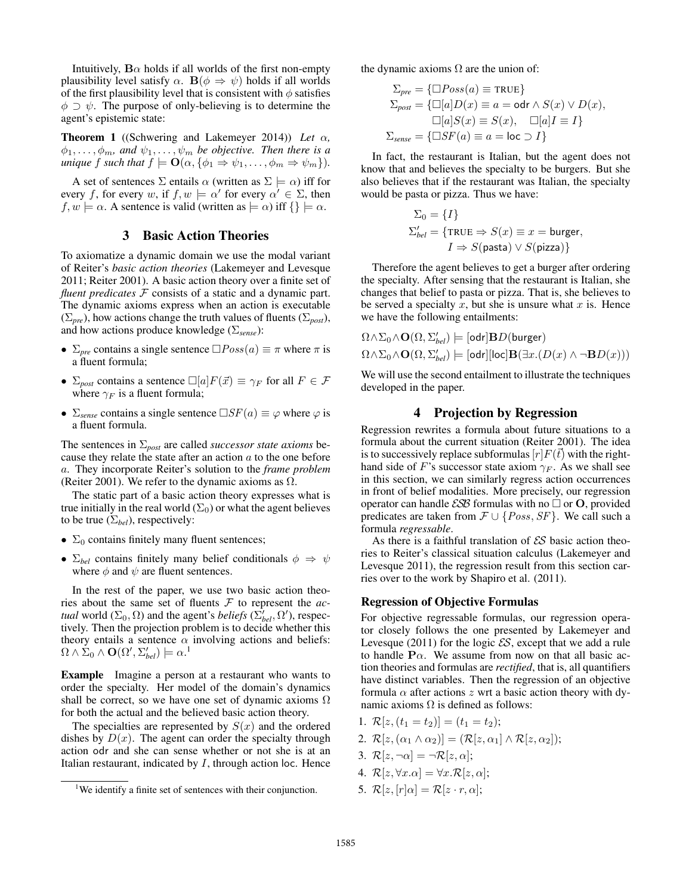Intuitively,  $\mathbf{B}\alpha$  holds if all worlds of the first non-empty plausibility level satisfy  $\alpha$ .  $\mathbf{B}(\phi \Rightarrow \psi)$  holds if all worlds of the first plausibility level that is consistent with  $\phi$  satisfies  $\phi \supset \psi$ . The purpose of only-believing is to determine the agent's epistemic state:

Theorem 1 ((Schwering and Lakemeyer 2014)) *Let* α*,*  $\phi_1, \ldots, \phi_m$ , and  $\psi_1, \ldots, \psi_m$  be objective. Then there is a *unique* f *such that*  $f \models \mathbf{O}(\alpha, \{\phi_1 \Rightarrow \psi_1, \dots, \phi_m \Rightarrow \psi_m\}).$ 

A set of sentences  $\Sigma$  entails  $\alpha$  (written as  $\Sigma \models \alpha$ ) iff for every f, for every w, if  $f, w \models \alpha'$  for every  $\alpha' \in \Sigma$ , then  $f, w \models \alpha$ . A sentence is valid (written as  $\models \alpha$ ) iff  $\{\}\models \alpha$ .

# 3 Basic Action Theories

To axiomatize a dynamic domain we use the modal variant of Reiter's *basic action theories* (Lakemeyer and Levesque 2011; Reiter 2001). A basic action theory over a finite set of *fluent predicates* F consists of a static and a dynamic part. The dynamic axioms express when an action is executable  $(\Sigma_{pre})$ , how actions change the truth values of fluents  $(\Sigma_{post})$ , and how actions produce knowledge (Σ*sense*):

- $\Sigma_{pre}$  contains a single sentence  $\square Poss(a) \equiv \pi$  where  $\pi$  is a fluent formula;
- $\Sigma_{post}$  contains a sentence  $\square[a]F(\vec{x}) \equiv \gamma_F$  for all  $F \in \mathcal{F}$ where  $\gamma_F$  is a fluent formula;
- $\Sigma_{sense}$  contains a single sentence  $\Box SF(a) \equiv \varphi$  where  $\varphi$  is a fluent formula.

The sentences in Σ*post* are called *successor state axioms* because they relate the state after an action  $a$  to the one before a. They incorporate Reiter's solution to the *frame problem* (Reiter 2001). We refer to the dynamic axioms as  $\Omega$ .

The static part of a basic action theory expresses what is true initially in the real world  $(\Sigma_0)$  or what the agent believes to be true  $(\Sigma_{bel})$ , respectively:

- $\Sigma_0$  contains finitely many fluent sentences;
- $\Sigma_{bel}$  contains finitely many belief conditionals  $\phi \Rightarrow \psi$ where  $\phi$  and  $\psi$  are fluent sentences.

In the rest of the paper, we use two basic action theories about the same set of fluents F to represent the *actual* world  $(\Sigma_0, \Omega)$  and the agent's *beliefs*  $(\Sigma'_{bel}, \Omega')$ , respectively. Then the projection problem is to decide whether this theory entails a sentence  $\alpha$  involving actions and beliefs:  $\Omega \wedge \Sigma_0 \wedge \mathbf{O}(\Omega', \Sigma_{bel}') \models \alpha.^1$ 

Example Imagine a person at a restaurant who wants to order the specialty. Her model of the domain's dynamics shall be correct, so we have one set of dynamic axioms  $\Omega$ for both the actual and the believed basic action theory.

The specialties are represented by  $S(x)$  and the ordered dishes by  $D(x)$ . The agent can order the specialty through action odr and she can sense whether or not she is at an Italian restaurant, indicated by  $I$ , through action loc. Hence the dynamic axioms  $\Omega$  are the union of:

$$
\Sigma_{pre} = {\square Poss(a) \equiv \text{TRUE}}
$$
  
\n
$$
\Sigma_{post} = {\square[a]D(x) \equiv a = \text{odr} \land S(x) \lor D(x),
$$
  
\n
$$
\square[a]S(x) \equiv S(x), \quad \square[a]I \equiv I\}
$$
  
\n
$$
\Sigma_{sense} = {\square SF(a) \equiv a = \text{loc } \supset I}
$$

In fact, the restaurant is Italian, but the agent does not know that and believes the specialty to be burgers. But she also believes that if the restaurant was Italian, the specialty would be pasta or pizza. Thus we have:

$$
\Sigma_0 = \{I\}
$$
  
\n
$$
\Sigma'_{bel} = \{\text{TRUE} \Rightarrow S(x) \equiv x = \text{burger},
$$
  
\n
$$
I \Rightarrow S(\text{past}) \vee S(\text{pizza})\}
$$

Therefore the agent believes to get a burger after ordering the specialty. After sensing that the restaurant is Italian, she changes that belief to pasta or pizza. That is, she believes to be served a specialty  $x$ , but she is unsure what  $x$  is. Hence we have the following entailments:

$$
\Omega \wedge \Sigma_0 \wedge \mathbf{O}(\Omega, \Sigma'_{bel}) \models [\text{odr}] \mathbf{B} D(\text{burger})
$$
  

$$
\Omega \wedge \Sigma_0 \wedge \mathbf{O}(\Omega, \Sigma'_{bel}) \models [\text{odr}][\text{loc}] \mathbf{B}(\exists x. (D(x) \wedge \neg \mathbf{B} D(x)))
$$

We will use the second entailment to illustrate the techniques developed in the paper.

### 4 Projection by Regression

Regression rewrites a formula about future situations to a formula about the current situation (Reiter 2001). The idea is to successively replace subformulas  $[r]F(\vec{t})$  with the righthand side of F's successor state axiom  $\gamma_F$ . As we shall see in this section, we can similarly regress action occurrences in front of belief modalities. More precisely, our regression operator can handle  $\mathcal{E} \mathcal{S} \mathcal{B}$  formulas with no  $\Box$  or **O**, provided predicates are taken from  $\mathcal{F} \cup \{Poss, SF\}$ . We call such a formula *regressable*.

As there is a faithful translation of  $\mathcal{E}S$  basic action theories to Reiter's classical situation calculus (Lakemeyer and Levesque 2011), the regression result from this section carries over to the work by Shapiro et al. (2011).

#### Regression of Objective Formulas

For objective regressable formulas, our regression operator closely follows the one presented by Lakemeyer and Levesque (2011) for the logic  $\mathcal{ES}$ , except that we add a rule to handle  $\mathbf{P}\alpha$ . We assume from now on that all basic action theories and formulas are *rectified*, that is, all quantifiers have distinct variables. Then the regression of an objective formula  $\alpha$  after actions z wrt a basic action theory with dynamic axioms  $\Omega$  is defined as follows:

- 1.  $\mathcal{R}[z,(t_1=t_2)] = (t_1 = t_2);$
- 2.  $\mathcal{R}[z,(\alpha_1 \wedge \alpha_2)] = (\mathcal{R}[z,\alpha_1] \wedge \mathcal{R}[z,\alpha_2])$ ;
- 3.  $\mathcal{R}[z, \neg \alpha] = \neg \mathcal{R}[z, \alpha];$
- 4.  $\mathcal{R}[z, \forall x. \alpha] = \forall x. \mathcal{R}[z, \alpha];$
- 5.  $\mathcal{R}[z,[r]\alpha] = \mathcal{R}[z \cdot r,\alpha];$

<sup>&</sup>lt;sup>1</sup>We identify a finite set of sentences with their conjunction.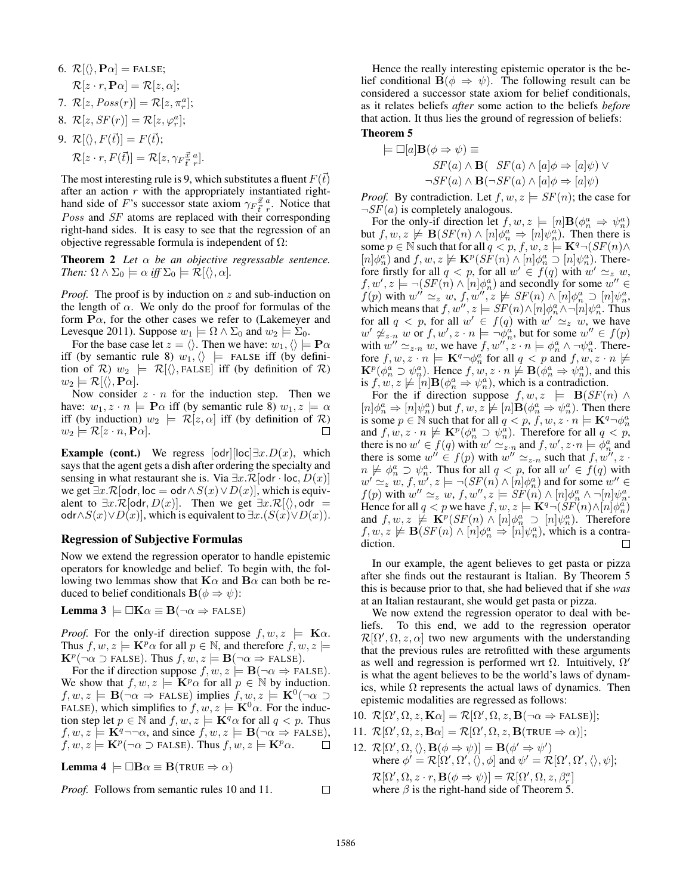\n- 6. 
$$
\mathcal{R}[\langle\rangle, \mathbf{P}\alpha] = \text{FALSE};
$$
\n- $\mathcal{R}[z \cdot r, \mathbf{P}\alpha] = \mathcal{R}[z, \alpha];$
\n- 7.  $\mathcal{R}[z, Poss(r)] = \mathcal{R}[z, \pi_r^a];$
\n- 8.  $\mathcal{R}[z, SF(r)] = \mathcal{R}[z, \varphi_r^a];$
\n- 9.  $\mathcal{R}[\langle\rangle, F(\vec{t})] = F(\vec{t});$
\n- $\mathcal{R}[z \cdot r, F(\vec{t})] = \mathcal{R}[z, \gamma_F \vec{t} \cdot r]$
\n

The most interesting rule is 9, which substitutes a fluent  $F(\bar{t})$ after an action  $r$  with the appropriately instantiated righthand side of F's successor state axiom  $\gamma_F \vec{f}^a_r$ . Notice that Poss and SF atoms are replaced with their corresponding right-hand sides. It is easy to see that the regression of an objective regressable formula is independent of  $\Omega$ :

Theorem 2 *Let* α *be an objective regressable sentence. Then:*  $\Omega \wedge \Sigma_0 \models \alpha$  *iff*  $\Sigma_0 \models \mathcal{R}[\langle \rangle, \alpha]$ *.* 

*Proof.* The proof is by induction on z and sub-induction on the length of  $\alpha$ . We only do the proof for formulas of the form  $\mathbf{P}\alpha$ , for the other cases we refer to (Lakemeyer and Levesque 2011). Suppose  $w_1 \models \Omega \wedge \Sigma_0$  and  $w_2 \models \Sigma_0$ .

For the base case let  $z = \langle \rangle$ . Then we have:  $w_1, \langle \rangle \models \mathbf{P}\alpha$ iff (by semantic rule 8)  $w_1, \langle\rangle$  = FALSE iff (by definition of  $\mathcal{R}$ )  $w_2$   $\models$   $\mathcal{R}[\langle \rangle,$  FALSE] iff (by definition of  $\mathcal{R}$ )  $w_2 \models \mathcal{R}[\langle \rangle, \mathbf{P}\alpha].$ 

Now consider  $z \cdot n$  for the induction step. Then we have:  $w_1, z \cdot n \models \mathbf{P}\alpha$  iff (by semantic rule 8)  $w_1, z \models \alpha$ iff (by induction)  $w_2$  =  $\mathcal{R}[z,\alpha]$  iff (by definition of  $\mathcal{R}$ )  $w_2 \models \mathcal{R}[z \cdot n, \mathbf{P}\alpha].$  $\Box$ 

**Example (cont.)** We regress  $[odr][loc] \exists x.D(x)$ , which says that the agent gets a dish after ordering the specialty and sensing in what restaurant she is. Via  $\exists x \mathcal{R}$ [odr · loc,  $D(x)$ ] we get  $\exists x \cdot \mathcal{R}$ [odr, loc = odr  $\land S(x) \lor D(x)$ ], which is equivalent to  $\exists x \cdot \mathcal{R}[\text{odr}, D(x)]$ . Then we get  $\exists x \cdot \mathcal{R}[\langle \rangle, \text{odr} =$ odr $\land S(x) \lor D(x)$ , which is equivalent to  $\exists x.(S(x) \lor D(x))$ .

#### Regression of Subjective Formulas

Now we extend the regression operator to handle epistemic operators for knowledge and belief. To begin with, the following two lemmas show that  $\mathbf{K}\alpha$  and  $\mathbf{B}\alpha$  can both be reduced to belief conditionals  $\mathbf{B}(\phi \Rightarrow \psi)$ :

**Lemma 3**  $\models \Box K\alpha \equiv B(\neg \alpha \Rightarrow F\text{ALSE})$ 

*Proof.* For the only-if direction suppose  $f, w, z \models \mathbf{K}\alpha$ . Thus  $f, w, z \models \mathbf{K}^p \alpha$  for all  $p \in \mathbb{N}$ , and therefore  $f, w, z \models$  $\mathbf{K}^p(\neg \alpha \supset \text{FALSE})$ . Thus  $f, w, z \models \mathbf{B}(\neg \alpha \Rightarrow \text{FALSE})$ .

For the if direction suppose  $f, w, z \models \mathbf{B}(\neg \alpha \Rightarrow \text{FALSE}).$ We show that  $f, w, z \models \mathbf{K}^p \alpha$  for all  $p \in \mathbb{N}$  by induction.  $f, w, z \models \mathbf{B}(\neg \alpha \Rightarrow \text{FALSE}) \text{ implies } f, w, z \models \mathbf{K}^0(\neg \alpha \supset$ FALSE), which simplifies to  $f, w, z \models \mathbf{K}^0 \alpha$ . For the induction step let  $p \in \mathbb{N}$  and  $f, w, z \models \mathbf{K}^q \alpha$  for all  $q < p$ . Thus  $f, w, z \models \mathbf{K}^{q} \neg \neg \alpha$ , and since  $f, w, z \models \mathbf{B}(\neg \alpha \Rightarrow \text{FALSE}),$  $f, w, z \models \mathbf{K}^p(\neg \alpha \supset \texttt{FALSE})$ . Thus  $f, w, z \models \mathbf{K}^p \alpha$ .  $\Box$ 

**Lemma 4** 
$$
\models \Box \mathbf{B} \alpha \equiv \mathbf{B} (\text{TRUE} \Rightarrow \alpha)
$$

*Proof.* Follows from semantic rules 10 and 11.

Hence the really interesting epistemic operator is the belief conditional  $\mathbf{B}(\phi \Rightarrow \psi)$ . The following result can be considered a successor state axiom for belief conditionals, as it relates beliefs *after* some action to the beliefs *before* that action. It thus lies the ground of regression of beliefs:

## Theorem 5

$$
\models \Box[a] \mathbf{B}(\phi \Rightarrow \psi) \equiv
$$
  
 
$$
SF(a) \land \mathbf{B}(\mathcal{S}F(a) \land [a]\phi \Rightarrow [a]\psi) \lor
$$
  
 
$$
\neg SF(a) \land \mathbf{B}(\neg SF(a) \land [a]\phi \Rightarrow [a]\psi)
$$

*Proof.* By contradiction. Let  $f, w, z \models SF(n)$ ; the case for  $\neg SF(a)$  is completely analogous.

For the only-if direction let  $f, w, z \models [n] \mathbf{B}(\phi_n^a \Rightarrow \psi_n^a)$ but  $f, w, z \not\models B(SF(n) \wedge [n] \phi_n^a \Rightarrow [n] \psi_n^a)$ . Then there is some  $p \in \mathbb{N}$  such that for all  $q < p$ ,  $f, w, z \models \mathbf{K}^q \neg (SF(n) \land g)$  $[n] \phi_n^a$  and  $f, w, z \not\models \mathbf{K}^p(SF(n) \wedge [n] \phi_n^a \supset [n] \psi_n^a)$ . Therefore firstly for all  $q < p$ , for all  $w' \in f(q)$  with  $w' \simeq_z w$ ,  $f, w', z \models \neg (SF(n) \land [n] \phi_n^a)$  and secondly for some  $w'' \in$  $f(p)$  with  $w'' \simeq_z w$ ,  $f, w'', z \not\models SF(n) \wedge [n] \phi_n^a \supset [n] \psi_n^a$ , which means that  $f, w'', z \models SF(n) \land [n] \phi_n^a \land \neg [n] \psi_n^a$ . Thus for all  $q < p$ , for all  $w' \in f(q)$  with  $w' \simeq_{z} w$ , we have  $w' \not\cong_{z \cdot n} w$  or  $f, w', z \cdot n \models \neg \phi_n^a$ , but for some  $w'' \in f(p)$ with  $w'' \simeq_{z \cdot n} w$ , we have  $f, w'', z \cdot n \models \phi_n^a \land \neg \psi_n^a$ . Therefore  $f, w, z \cdot n \models \mathbf{K}^q \neg \phi_n^a$  for all  $q < p$  and  $f, w, z \cdot n \not\models$  $\mathbf{K}^p(\phi_n^a \supset \psi_n^a)$ . Hence  $f, w, z \cdot n \not\models \mathbf{B}(\phi_n^a \Rightarrow \psi_n^a)$ , and this is  $f, w, z \nvDash [n] \mathbf{B}(\phi_n^a \Rightarrow \psi_n^a)$ , which is a contradiction.

For the if direction suppose  $f, w, z \models B(SF(n) \land$  $[n]\phi_n^a \Rightarrow [n]\psi_n^a$ ) but  $f, w, z \not\models [n] \mathbf{B}(\phi_n^a \Rightarrow \psi_n^a)$ . Then there is some  $p \in \mathbb{N}$  such that for all  $q < p, f, w, z \cdot n \models \mathbf{K}^q \rightarrow \phi_n^q$ and  $f, w, z \cdot n \not\models \mathbf{K}^p(\phi_n^a \supset \psi_n^a)$ . Therefore for all  $q < p$ , there is no  $w' \in f(q)$  with  $w' \simeq z_n$  and  $f, w', z \cdot n \models \phi_n^a$  and there is some  $w'' \in f(p)$  with  $w'' \simeq_{z \cdot n}$  such that  $f, w''', z \cdot$  $n \not\models \phi_n^a \supset \psi_n^a$ . Thus for all  $q < p$ , for all  $w' \in f(q)$  with  $w' \simeq_z w$ ,  $f, w', z \models \neg (SF(n) \wedge [n] \phi_n^a)$  and for some  $w'' \in$  $f(p)$  with  $w'' \simeq_z w$ ,  $f, w'', z \models SF(n) \wedge [n] \phi_n^a \wedge \neg[n] \psi_n^a$ . Hence for all  $q < p$  we have  $f, w, z \models \mathbf{K}^q \neg (\mathcal{S}F(n) \wedge [n] \phi_n^a)$ and  $f, w, z \nvDash \mathbf{K}^p(SF(n) \wedge [n] \phi_n^a \supset [n] \psi_n^a)$ . Therefore  $f, w, z \not\models \mathbf{B}(SF(n) \wedge [n] \phi_n^a \Rightarrow [n] \psi_n^a)$ , which is a contradiction.  $\Box$ 

In our example, the agent believes to get pasta or pizza after she finds out the restaurant is Italian. By Theorem 5 this is because prior to that, she had believed that if she *was* at an Italian restaurant, she would get pasta or pizza.

We now extend the regression operator to deal with beliefs. To this end, we add to the regression operator  $\mathcal{R}[\Omega', \Omega, z, \alpha]$  two new arguments with the understanding that the previous rules are retrofitted with these arguments as well and regression is performed wrt  $\Omega$ . Intuitively,  $\Omega'$ is what the agent believes to be the world's laws of dynamics, while  $\Omega$  represents the actual laws of dynamics. Then epistemic modalities are regressed as follows:

10. 
$$
\mathcal{R}[\Omega', \Omega, z, \mathbf{K}\alpha] = \mathcal{R}[\Omega', \Omega, z, \mathbf{B}(\neg \alpha \Rightarrow \text{FALSE})];
$$

11. 
$$
\mathcal{R}[\Omega', \Omega, z, \mathbf{B}\alpha] = \mathcal{R}[\Omega', \Omega, z, \mathbf{B}(\text{TRUE} \Rightarrow \alpha)];
$$

12.  $\mathcal{R}[\Omega', \Omega, \langle \rangle, \mathbf{B}(\phi \Rightarrow \psi)] = \mathbf{B}(\phi' \Rightarrow \psi')$ where  $\phi' = \mathcal{R}[\Omega', \Omega', \langle \rangle, \phi]$  and  $\psi' = \mathcal{R}[\Omega', \Omega', \langle \rangle, \psi]$ ;  $\mathcal{R}[\Omega', \Omega, z \cdot r, \mathbf{B}(\phi \Rightarrow \psi)] = \mathcal{R}[\Omega', \Omega, z, \beta_r^a]$ where  $\beta$  is the right-hand side of Theorem 5.

 $\Box$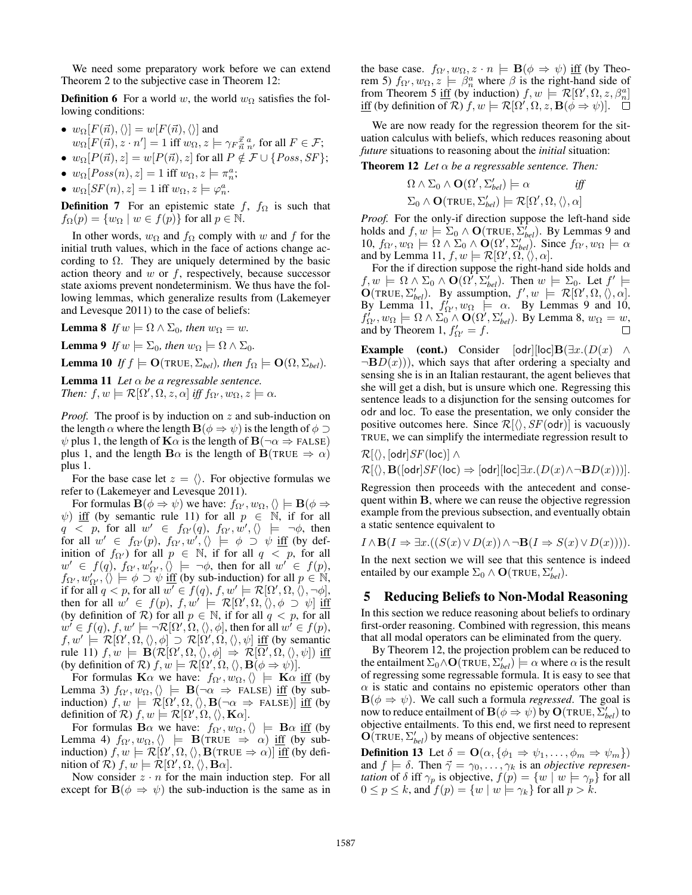We need some preparatory work before we can extend Theorem 2 to the subjective case in Theorem 12:

**Definition 6** For a world w, the world  $w_{\Omega}$  satisfies the following conditions:

- $w_{\Omega}[F(\vec{n}), \langle \rangle] = w[F(\vec{n}), \langle \rangle]$  and  $w_{\Omega}[F(\vec{n}), z \cdot n'] = 1$  iff  $w_{\Omega}, z \models \gamma_F^{\vec{x}} \frac{a}{n}$ , for all  $F \in \mathcal{F}$ ; •  $w_{\Omega}[P(\vec{n}), z] = w[P(\vec{n}), z]$  for all  $P \notin \mathcal{F} \cup \{Poss, SF\};$
- 
- $w_{\Omega}[Poss(n), z] = 1$  iff  $w_{\Omega}, z \models \pi_n^a$ ;
- $w_{\Omega}[SF(n), z] = 1$  iff  $w_{\Omega}, z \models \varphi_n^a$ .

**Definition 7** For an epistemic state f,  $f_{\Omega}$  is such that  $f_{\Omega}(p) = \{w_{\Omega} \mid w \in f(p)\}\$ for all  $p \in \mathbb{N}$ .

In other words,  $w_{\Omega}$  and  $f_{\Omega}$  comply with w and f for the initial truth values, which in the face of actions change according to  $\Omega$ . They are uniquely determined by the basic action theory and  $w$  or  $f$ , respectively, because successor state axioms prevent nondeterminism. We thus have the following lemmas, which generalize results from (Lakemeyer and Levesque 2011) to the case of beliefs:

**Lemma 8** *If*  $w \models \Omega \land \Sigma_0$ , then  $w_{\Omega} = w$ .

**Lemma 9** *If*  $w \models \Sigma_0$ *, then*  $w_{\Omega} \models \Omega \wedge \Sigma_0$ *.* 

**Lemma 10** *If*  $f \models O(\text{TRUE}, \Sigma_{bel})$ *, then*  $f_{\Omega} \models O(\Omega, \Sigma_{bel})$ *.* 

**Lemma 11** *Let*  $\alpha$  *be a regressable sentence. Then:*  $f, w \models \mathcal{R}[\Omega', \Omega, z, \alpha]$  *iff*  $f_{\Omega'}, w_{\Omega}, z \models \alpha$ .

*Proof.* The proof is by induction on z and sub-induction on the length  $\alpha$  where the length  $\mathbf{B}(\phi \Rightarrow \psi)$  is the length of  $\phi \supset$  $\psi$  plus 1, the length of  $\mathbf{K}\alpha$  is the length of  $\mathbf{B}(\neg \alpha \Rightarrow$  FALSE) plus 1, and the length  $\mathbf{B}\alpha$  is the length of  $\mathbf{B}(\text{TRUE} \Rightarrow \alpha)$ plus 1.

For the base case let  $z = \langle \rangle$ . For objective formulas we refer to (Lakemeyer and Levesque 2011).

For formulas  $\mathbf{B}(\phi \Rightarrow \psi)$  we have:  $f_{\Omega'}, w_{\Omega}, \langle \rangle \models \mathbf{B}(\phi \Rightarrow \psi)$  $\psi$ ) iff (by semantic rule 11) for all  $p \in \mathbb{N}$ , if for all  $q > p$ , for all  $w' \in f_{\Omega'}(q)$ ,  $f_{\Omega'}, w', \langle\rangle \models \neg \phi$ , then for all  $w' \in f_{\Omega'}(p)$ ,  $f_{\Omega'}(w', \langle\rangle) \models \phi \supset \psi$  iff (by definition of  $f_{\Omega}$ ) for all  $p \in \mathbb{N}$ , if for all  $q < p$ , for all  $w' \in f(q), f_{\Omega'}, w'_{\Omega'}, \overline{\langle} \rangle \models \neg \phi$ , then for all  $w' \in f(p)$ ,  $f_{\Omega}$ ,  $w'_{\Omega}$ ,  $\langle \rangle \models \phi \supset \psi$  iff (by sub-induction) for all  $p \in \mathbb{N}$ , if for all  $q < p$ , for all  $w' \in f(q)$ ,  $f, w' \models \mathcal{R}[\Omega', \Omega, \overline{\langle \rangle}, \neg \phi],$ then for all  $w' \in f(p)$ ,  $f, w' \models \mathcal{R}[\Omega', \Omega, \langle \rangle, \phi \supset \psi]$  iff (by definition of  $\mathcal R$ ) for all  $p \in \mathbb N$ , if for all  $q < p$ , for all  $w' \in f(q), f, w' \models \neg \mathcal{R}[\Omega', \Omega, \langle \rangle, \phi]$ , then for all  $w' \in f(p)$ ,  $f, w' \models [\mathcal{R}[\Omega', \Omega, \langle \rangle, \phi] \supset \mathcal{R}[\Omega', \Omega, \langle \rangle, \psi]$  iff (by semantic rule 11)  $f, w \models \mathbf{B}(\mathcal{R}[\Omega', \Omega, \langle), \phi] \Rightarrow \mathcal{R}[\Omega', \Omega, \langle), \psi]$  iff (by definition of  $\mathcal{R}$ )  $f, w \models \mathcal{R}[\Omega', \Omega, \langle \rangle, \mathbf{B}(\phi \Rightarrow \psi)].$ 

For formulas K $\alpha$  we have:  $f_{\Omega}$ ,  $w_{\Omega}$ ,  $\langle\rangle \models$  K $\alpha$  iff (by Lemma 3)  $f_{\Omega'}, w_{\Omega}, \langle\rangle \models \mathbf{B}(\neg \alpha \Rightarrow \text{FALSE})$  iff (by subinduction)  $f, w \models \mathcal{R}[\Omega', \Omega, \langle \rangle, \mathbf{B}(\neg \alpha \Rightarrow \text{FALSE})]$  iff (by definition of  $\mathcal{R}$ )  $f, w \models \mathcal{R}[\Omega', \Omega, \langle \rangle, \mathbf{K}\alpha]$ .

For formulas B $\alpha$  we have:  $f_{\Omega}$ ,  $w_{\Omega}$ ,  $\langle\rangle \models$  B $\alpha$  iff (by Lemma 4)  $f_{\Omega'}, w_{\Omega}, \langle\rangle \models$  **B**(TRUE  $\Rightarrow \alpha$ ) <u>iff</u> (by subinduction)  $f, w \models \mathcal{R}[\Omega', \Omega, \langle \rangle, \mathbf{B}(\text{TRUE} \Rightarrow \alpha)]$  iff (by definition of  $\mathcal{R})$   $f, w \models \mathcal{R}[\Omega', \Omega, \langle \rangle, \mathbf{B}\alpha].$ 

Now consider  $z \cdot n$  for the main induction step. For all except for  $B(\phi \Rightarrow \psi)$  the sub-induction is the same as in the base case.  $f_{\Omega'}, w_{\Omega}, z \cdot n \models \mathbf{B}(\phi \Rightarrow \psi)$  iff (by Theorem 5)  $f_{\Omega}$ ,  $w_{\Omega}$ ,  $z \models \beta_n^a$  where  $\beta$  is the right-hand side of from Theorem 5 iff (by induction)  $f, w \models \mathcal{R}[\Omega', \Omega, z, \beta_n^a]$ iff (by definition of  $\mathcal{R}$ )  $f, w \models \mathcal{R}[\Omega', \Omega, z, \mathbf{B}(\phi \Rightarrow \psi)].$ 

We are now ready for the regression theorem for the situation calculus with beliefs, which reduces reasoning about *future* situations to reasoning about the *initial* situation:

**Theorem 12** *Let*  $\alpha$  *be a regressable sentence. Then:* 

$$
\Omega \wedge \Sigma_0 \wedge \mathbf{O}(\Omega', \Sigma'_{bel}) \models \alpha \quad \textit{iff}
$$
\n
$$
\Sigma_0 \wedge \mathbf{O}(\texttt{TRUE}, \Sigma'_{bel}) \models \mathcal{R}[\Omega', \Omega, \langle \rangle, \alpha]
$$

*Proof.* For the only-if direction suppose the left-hand side holds and  $f, w \models \Sigma_0 \land O(\text{TRUE}, \hat{\Sigma}_{bel}^f)$ . By Lemmas 9 and 10,  $f_{\Omega'}$ ,  $w_{\Omega} \models \Omega \wedge \Sigma_0 \wedge \mathbf{O}(\Omega', \Sigma_{bel}')$ . Since  $f_{\Omega'}$ ,  $w_{\Omega} \models \alpha$ and by Lemma 11,  $f, w \models \mathcal{R}[\Omega', \Omega', \langle \rangle, \alpha].$ 

For the if direction suppose the right-hand side holds and  $f, w \models \Omega \wedge \Sigma_0 \wedge \mathbf{O}(\Omega', \Sigma'_{bel})$ . Then  $w \models \Sigma_0$ . Let  $f' \models$  $\mathbf{O}(\text{TRUE}, \Sigma'_{bel})$ . By assumption,  $f', w \models \mathcal{R}[\Omega', \Omega, \langle \rangle, \alpha]$ . By Lemma 11,  $f'_{\Omega}$ ,  $w_{\Omega}$   $\models \alpha$ . By Lemmas 9 and 10,  $f'_{\Omega'}$ ,  $w_{\Omega} \models \Omega \wedge \Sigma_0 \wedge \mathbf{O}(\Omega', \Sigma_{bel}')$ . By Lemma 8,  $w_{\Omega} = w$ , and by Theorem 1,  $f'_{\Omega'} = f$ .

**Example** (cont.) Consider  $[odr][loc] \mathbf{B}(\exists x.(D(x) \wedge$  $\neg BD(x))$ , which says that after ordering a specialty and sensing she is in an Italian restaurant, the agent believes that she will get a dish, but is unsure which one. Regressing this sentence leads to a disjunction for the sensing outcomes for odr and loc. To ease the presentation, we only consider the positive outcomes here. Since  $\mathcal{R}[\langle \rangle, SF(\text{od}r)]$  is vacuously TRUE, we can simplify the intermediate regression result to

$$
\mathcal{R}[\langle\rangle,[\mathsf{odr}]SF(\mathsf{loc})]\wedge\\ \mathcal{R}[\langle\rangle,\mathbf{B}([\mathsf{odr}]SF(\mathsf{loc})\Rightarrow[\mathsf{odr}][\mathsf{loc}] \exists x.(D(x) \wedge \neg \mathbf{B} D(x)))].
$$

Regression then proceeds with the antecedent and consequent within B, where we can reuse the objective regression example from the previous subsection, and eventually obtain a static sentence equivalent to

$$
I \wedge \mathbf{B}(I \Rightarrow \exists x.((S(x) \vee D(x)) \wedge \neg \mathbf{B}(I \Rightarrow S(x) \vee D(x)))).
$$

In the next section we will see that this sentence is indeed entailed by our example  $\Sigma_0 \wedge \mathbf{O}(\text{TRUE}, \Sigma'_{bel})$ .

# 5 Reducing Beliefs to Non-Modal Reasoning

In this section we reduce reasoning about beliefs to ordinary first-order reasoning. Combined with regression, this means that all modal operators can be eliminated from the query.

By Theorem 12, the projection problem can be reduced to the entailment  $\Sigma_0 \wedge \mathbf{O}(\texttt{TRUE},\Sigma_{bel}') \models \alpha$  where  $\alpha$  is the result of regressing some regressable formula. It is easy to see that  $\alpha$  is static and contains no epistemic operators other than  $\mathbf{B}(\phi \Rightarrow \psi)$ . We call such a formula *regressed*. The goal is now to reduce entailment of  $\mathbf{B}(\phi \Rightarrow \psi)$  by  $\mathbf{O}(\texttt{TRUE}, \bar{\Sigma}'_{bel})$  to objective entailments. To this end, we first need to represent  $\overline{O}(\text{TRUE}, \Sigma_{bel}')$  by means of objective sentences:

**Definition 13** Let  $\delta = \mathbf{O}(\alpha, \{\phi_1 \Rightarrow \psi_1, \dots, \phi_m \Rightarrow \psi_m\})$ and  $f \models \delta$ . Then  $\vec{\gamma} = \gamma_0, \dots, \gamma_k$  is an *objective representation* of  $\delta$  iff  $\gamma_p$  is objective,  $f(p) = \{w \mid w \models \gamma_p\}$  for all  $0 \le p \le k$ , and  $f(p) = \{w \mid w \models \gamma_k\}$  for all  $p > k$ .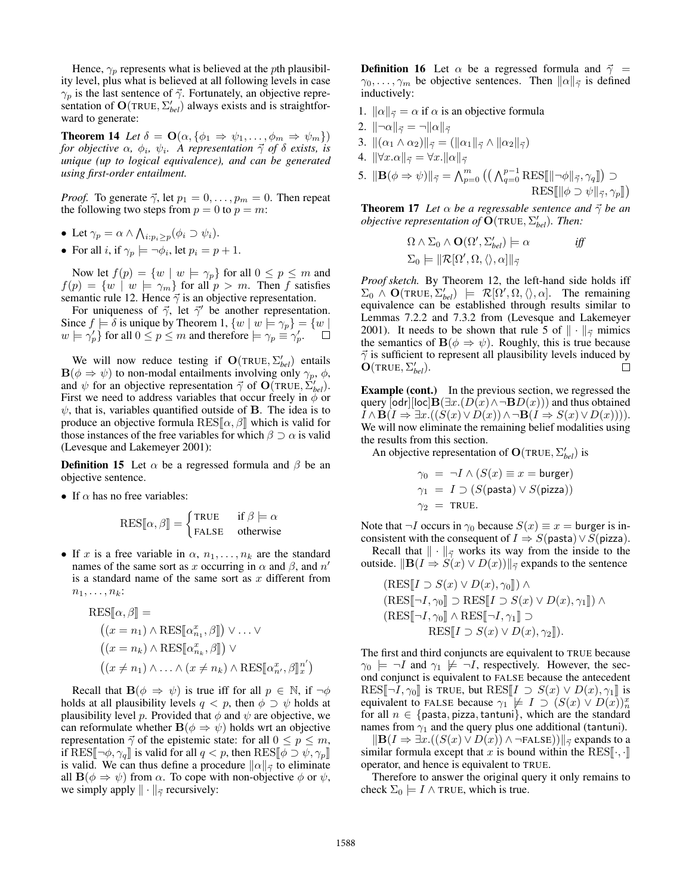Hence,  $\gamma_p$  represents what is believed at the *pth* plausibility level, plus what is believed at all following levels in case  $\gamma_p$  is the last sentence of  $\vec{\gamma}$ . Fortunately, an objective representation of  $O(TRUE, \sum_{bel}^{\prime})$  always exists and is straightforward to generate:

**Theorem 14** *Let*  $\delta = \mathbf{O}(\alpha, \{\phi_1 \Rightarrow \psi_1, \dots, \phi_m \Rightarrow \psi_m\})$ *for objective*  $\alpha$ ,  $\phi_i$ ,  $\psi_i$ . A representation  $\vec{\gamma}$  of  $\delta$  exists, is *unique (up to logical equivalence), and can be generated using first-order entailment.*

*Proof.* To generate  $\vec{\gamma}$ , let  $p_1 = 0, \ldots, p_m = 0$ . Then repeat the following two steps from  $p = 0$  to  $p = m$ :

- Let  $\gamma_p = \alpha \wedge \bigwedge_{i:p_i \geq p} (\phi_i \supset \psi_i).$
- For all *i*, if  $\gamma_p \models \neg \phi_i$ , let  $p_i = p + 1$ .

Now let  $f(p) = \{w \mid w \models \gamma_p\}$  for all  $0 \le p \le m$  and  $f(p) = \{w \mid w \models \gamma_m\}$  for all  $p > m$ . Then f satisfies semantic rule 12. Hence  $\vec{\gamma}$  is an objective representation.

For uniqueness of  $\vec{\gamma}$ , let  $\vec{\gamma}'$  be another representation. Since  $f \models \delta$  is unique by Theorem 1,  $\{w \mid w \models \gamma_p\} = \{w \mid$  $w \models \gamma'_p$  for all  $0 \leq p \leq m$  and therefore  $\models \gamma_p \equiv \gamma'_p$ .  $\Box$ 

We will now reduce testing if  $O(TRUE, \sum_{bel}^{\prime})$  entails  $\mathbf{B}(\phi \Rightarrow \psi)$  to non-modal entailments involving only  $\gamma_p$ ,  $\phi$ , and  $\psi$  for an objective representation  $\vec{\gamma}$  of  $\mathbf{O}(\text{TRUE}, \vec{\Sigma}_{bel}')$ . First we need to address variables that occur freely in  $\phi$  or  $\psi$ , that is, variables quantified outside of **B**. The idea is to produce an objective formula  $\text{RES}[\alpha, \beta]$  which is valid for those instances of the free variables for which  $\beta \supset \alpha$  is valid (Levesque and Lakemeyer 2001):

**Definition 15** Let  $\alpha$  be a regressed formula and  $\beta$  be an objective sentence.

• If  $\alpha$  has no free variables:

$$
RES[\![\alpha,\beta]\!] = \begin{cases} \text{TRUE} & \text{if } \beta \models \alpha \\ \text{FALSE} & \text{otherwise} \end{cases}
$$

• If x is a free variable in  $\alpha$ ,  $n_1, \ldots, n_k$  are the standard names of the same sort as x occurring in  $\alpha$  and  $\beta$ , and  $n'$ is a standard name of the same sort as  $x$  different from  $n_1, \ldots, n_k$ :

$$
RES[\![\alpha, \beta]\!] =
$$
  
\n
$$
((x = n_1) \land RES[\![\alpha_{n_1}^x, \beta]\!]) \lor \dots \lor
$$
  
\n
$$
((x = n_k) \land RES[\![\alpha_{n_k}^x, \beta]\!]) \lor
$$
  
\n
$$
((x \neq n_1) \land \dots \land (x \neq n_k) \land RES[\![\alpha_{n'}^x, \beta]\!]_x^{n'})
$$

Recall that  $B(\phi \Rightarrow \psi)$  is true iff for all  $p \in \mathbb{N}$ , if  $\neg \phi$ holds at all plausibility levels  $q < p$ , then  $\phi \supset \psi$  holds at plausibility level p. Provided that  $\phi$  and  $\psi$  are objective, we can reformulate whether  $B(\phi \Rightarrow \psi)$  holds wrt an objective representation  $\vec{\gamma}$  of the epistemic state: for all  $0 \le p \le m$ , if RES[ $\neg \phi, \gamma_q$ ] is valid for all  $q < p$ , then RES[ $\phi \supset \psi, \gamma_p$ ] is valid. We can thus define a procedure  $\|\alpha\|_{\vec{\gamma}}$  to eliminate all  $\mathbf{B}(\phi \Rightarrow \psi)$  from  $\alpha$ . To cope with non-objective  $\phi$  or  $\psi$ , we simply apply  $\|\cdot\|_{\vec{\gamma}}$  recursively:

**Definition 16** Let  $\alpha$  be a regressed formula and  $\vec{\gamma}$  =  $\gamma_0, \ldots, \gamma_m$  be objective sentences. Then  $\|\alpha\|_{\vec{\gamma}}$  is defined inductively:

- 1.  $\|\alpha\|_{\vec{\gamma}} = \alpha$  if  $\alpha$  is an objective formula
- 2.  $\|\neg \alpha\|_{\vec{\gamma}} = \neg \|\alpha\|_{\vec{\gamma}}$
- 3.  $\|(\alpha_1 \wedge \alpha_2)\|_{\vec{\gamma}} = (\|\alpha_1\|_{\vec{\gamma}} \wedge \|\alpha_2\|_{\vec{\gamma}})$
- 4.  $\|\forall x.\alpha\|_{\vec{\gamma}} = \forall x.\|\alpha\|_{\vec{\gamma}}$
- 5.  $\|\mathbf{B}(\phi \Rightarrow \psi)\|_{\vec{\gamma}} = \bigwedge_{p=0}^{m} \left( \left( \bigwedge_{q=0}^{p-1} \text{RES}[\|\neg \phi\|_{\vec{\gamma}}, \gamma_q] \right) \supset$  $\text{RES}[\|\phi \supset \psi\|_{\vec{\gamma}}, \gamma_p]\]$

**Theorem 17** *Let*  $\alpha$  *be a regressable sentence and*  $\vec{\gamma}$  *be an objective representation of*  $\tilde{O}(\text{TRUE}, \Sigma'_{bel})$ *. Then:* 

$$
\Omega \wedge \Sigma_0 \wedge \mathbf{O}(\Omega', \Sigma'_{bel}) \models \alpha \quad \text{iff}
$$
  

$$
\Sigma_0 \models ||\mathcal{R}[\Omega', \Omega, \langle \rangle, \alpha]||_{\overrightarrow{\gamma}}
$$

*Proof sketch.* By Theorem 12, the left-hand side holds iff  $\Sigma_0 \wedge \mathbf{O}(\text{TRUE}, \Sigma_{bel}') \models \mathcal{R}[\Omega', \Omega, \langle \rangle, \alpha].$  The remaining equivalence can be established through results similar to Lemmas 7.2.2 and 7.3.2 from (Levesque and Lakemeyer 2001). It needs to be shown that rule 5 of  $\|\cdot\|_{\vec{\gamma}}$  mimics the semantics of  $B(\phi \Rightarrow \psi)$ . Roughly, this is true because  $\vec{\gamma}$  is sufficient to represent all plausibility levels induced by  $\tilde{\mathbf{O}}(\texttt{TRUE}, \Sigma'_{bel}).$  $\Box$ 

Example (cont.) In the previous section, we regressed the query  $[odr][loc]$ **B** $(\exists x.(D(x) \land \neg BD(x)))$  and thus obtained  $I \wedge \mathbf{B}(I \Rightarrow \exists x \cdot ((S(x) \vee D(x)) \wedge \neg \mathbf{B}(I \Rightarrow S(x) \vee D(x))))$ . We will now eliminate the remaining belief modalities using the results from this section.

An objective representation of  $O(\text{TRUE}, \Sigma_{bel}')$  is

$$
\gamma_0 = \neg I \land (S(x) \equiv x = \text{burger})
$$
  
\n
$$
\gamma_1 = I \supset (S(\text{pasta}) \lor S(\text{pizza}))
$$
  
\n
$$
\gamma_2 = \text{TRUE.}
$$

Note that  $\neg I$  occurs in  $\gamma_0$  because  $S(x) \equiv x =$  burger is inconsistent with the consequent of  $I \Rightarrow S$ (pasta)  $\vee S$ (pizza).

Recall that  $\|\cdot\|_{\vec{\gamma}}$  works its way from the inside to the outside.  $\|\mathbf{B}(I \Rightarrow S(x) \vee D(x))\|_{\vec{\gamma}}$  expands to the sentence

$$
(\text{RES}[\![I \supset S(x) \vee D(x), \gamma_0]\!]) \wedge
$$
  
\n
$$
(\text{RES}[\![\neg I, \gamma_0]\!] \supset \text{RES}[\![I \supset S(x) \vee D(x), \gamma_1]\!]) \wedge
$$
  
\n
$$
(\text{RES}[\![\neg I, \gamma_0]\!] \wedge \text{RES}[\![\neg I, \gamma_1]\!]) \supset
$$
  
\n
$$
\text{RES}[\![I \supset S(x) \vee D(x), \gamma_2]\!]).
$$

The first and third conjuncts are equivalent to TRUE because  $\gamma_0 \models \neg I$  and  $\gamma_1 \not\models \neg I$ , respectively. However, the second conjunct is equivalent to FALSE because the antecedent RES $\lbrack -I, \gamma_0 \rbrack$  is TRUE, but RES $\lbrack I \supset S(x) \vee D(x), \gamma_1 \rbrack$  is equivalent to FALSE because  $\gamma_1 \neq I \supset (S(x) \vee D(x))_n^*$  for all  $n \in \{$  pasta, pizza, tantuni}, which are the standard names from  $\gamma_1$  and the query plus one additional (tantuni).

 $\|B(I \Rightarrow \exists x.((S(x) \vee D(x)) \wedge \neg$ FALSE)) $\|\vec{r}\|$  expands to a similar formula except that x is bound within the RES $\llbracket \cdot, \cdot \rrbracket$ operator, and hence is equivalent to TRUE.

Therefore to answer the original query it only remains to check  $\Sigma_0 \models I \land \text{TRUE}$ , which is true.